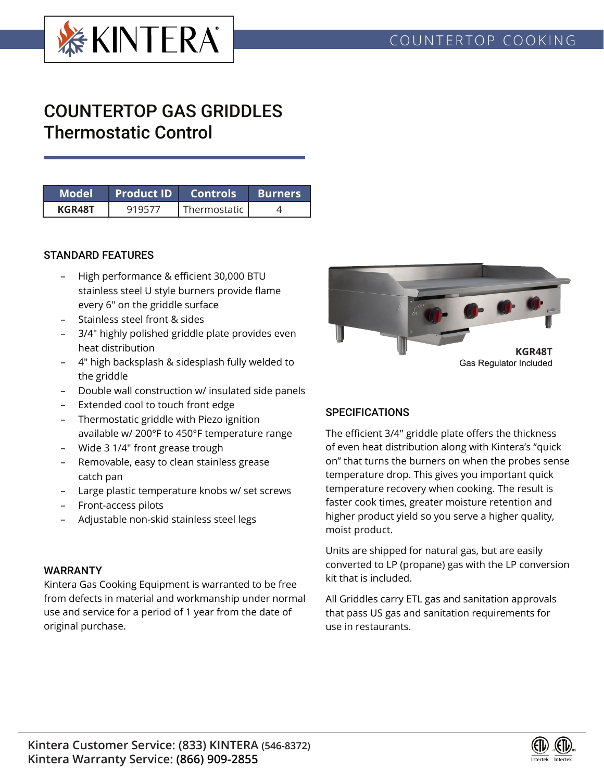

# COUNTERTOP GAS GRIDDLES Thermostatic Control

| Model  | Product ID  Controls |              | <b>Burners</b> |
|--------|----------------------|--------------|----------------|
| KGR48T |                      | Thermostatic |                |

### STANDARD FEATURES

- High performance & efficient 30,000 BTU stainless steel U style burners provide flame every 6" on the griddle surface
- Stainless steel front & sides
- 3/4" highly polished griddle plate provides even heat distribution
- 4" high backsplash & sidesplash fully welded to the griddle
- Double wall construction w/ insulated side panels
- Extended cool to touch front edge
- Thermostatic griddle with Piezo ignition available w/ 200°F to 450°F temperature range
- Wide 3 1/4" front grease trough
- Removable, easy to clean stainless grease catch pan
- Large plastic temperature knobs w/ set screws
- Front-access pilots
- Adjustable non-skid stainless steel legs

#### WARRANTY

Kintera Gas Cooking Equipment is warranted to be free from defects in material and workmanship under normal use and service for a period of 1 year from the date of original purchase.



#### **SPECIFICATIONS**

The efficient 3/4" griddle plate offers the thickness of even heat distribution along with Kintera's "quick on" that turns the burners on when the probes sense temperature drop. This gives you important quick temperature recovery when cooking. The result is faster cook times, greater moisture retention and higher product yield so you serve a higher quality, moist product.

Units are shipped for natural gas, but are easily converted to LP (propane) gas with the LP conversion kit that is included.

All Griddles carry ETL gas and sanitation approvals that pass US gas and sanitation requirements for use in restaurants.